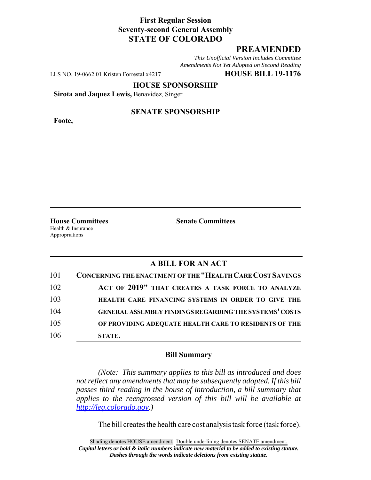### **First Regular Session Seventy-second General Assembly STATE OF COLORADO**

## **PREAMENDED**

*This Unofficial Version Includes Committee Amendments Not Yet Adopted on Second Reading*

LLS NO. 19-0662.01 Kristen Forrestal x4217 **HOUSE BILL 19-1176**

**HOUSE SPONSORSHIP**

**Sirota and Jaquez Lewis,** Benavidez, Singer

**Foote,**

#### **SENATE SPONSORSHIP**

Health & Insurance Appropriations

**House Committees Senate Committees** 

### **A BILL FOR AN ACT**

| 101 | CONCERNING THE ENACTMENT OF THE "HEALTH CARE COST SAVINGS     |
|-----|---------------------------------------------------------------|
| 102 | ACT OF 2019" THAT CREATES A TASK FORCE TO ANALYZE             |
| 103 | HEALTH CARE FINANCING SYSTEMS IN ORDER TO GIVE THE            |
| 104 | <b>GENERAL ASSEMBLY FINDINGS REGARDING THE SYSTEMS' COSTS</b> |
| 105 | OF PROVIDING ADEQUATE HEALTH CARE TO RESIDENTS OF THE         |
| 106 | STATE.                                                        |

#### **Bill Summary**

*(Note: This summary applies to this bill as introduced and does not reflect any amendments that may be subsequently adopted. If this bill passes third reading in the house of introduction, a bill summary that applies to the reengrossed version of this bill will be available at http://leg.colorado.gov.)*

The bill creates the health care cost analysis task force (task force).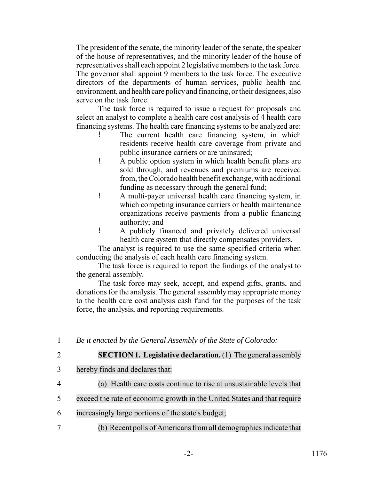The president of the senate, the minority leader of the senate, the speaker of the house of representatives, and the minority leader of the house of representatives shall each appoint 2 legislative members to the task force. The governor shall appoint 9 members to the task force. The executive directors of the departments of human services, public health and environment, and health care policy and financing, or their designees, also serve on the task force.

The task force is required to issue a request for proposals and select an analyst to complete a health care cost analysis of 4 health care financing systems. The health care financing systems to be analyzed are:

- The current health care financing system, in which residents receive health care coverage from private and public insurance carriers or are uninsured;
- ! A public option system in which health benefit plans are sold through, and revenues and premiums are received from, the Colorado health benefit exchange, with additional funding as necessary through the general fund;
- ! A multi-payer universal health care financing system, in which competing insurance carriers or health maintenance organizations receive payments from a public financing authority; and
- ! A publicly financed and privately delivered universal health care system that directly compensates providers.

The analyst is required to use the same specified criteria when conducting the analysis of each health care financing system.

The task force is required to report the findings of the analyst to the general assembly.

The task force may seek, accept, and expend gifts, grants, and donations for the analysis. The general assembly may appropriate money to the health care cost analysis cash fund for the purposes of the task force, the analysis, and reporting requirements.

1 *Be it enacted by the General Assembly of the State of Colorado:*

2 **SECTION 1. Legislative declaration.** (1) The general assembly

- 3 hereby finds and declares that:
- 4 (a) Health care costs continue to rise at unsustainable levels that
- 5 exceed the rate of economic growth in the United States and that require
- 6 increasingly large portions of the state's budget;
- 7 (b) Recent polls of Americans from all demographics indicate that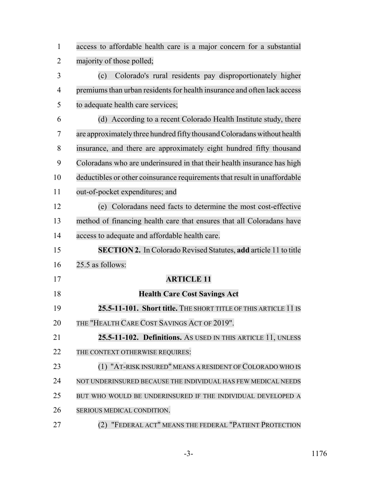access to affordable health care is a major concern for a substantial majority of those polled;

 (c) Colorado's rural residents pay disproportionately higher 4 premiums than urban residents for health insurance and often lack access to adequate health care services;

 (d) According to a recent Colorado Health Institute study, there are approximatelythree hundred fiftythousand Coloradans without health insurance, and there are approximately eight hundred fifty thousand Coloradans who are underinsured in that their health insurance has high 10 deductibles or other coinsurance requirements that result in unaffordable out-of-pocket expenditures; and

 (e) Coloradans need facts to determine the most cost-effective method of financing health care that ensures that all Coloradans have access to adequate and affordable health care.

 **SECTION 2.** In Colorado Revised Statutes, **add** article 11 to title 25.5 as follows:

# **ARTICLE 11**

 **Health Care Cost Savings Act 25.5-11-101. Short title.** THE SHORT TITLE OF THIS ARTICLE 11 IS 20 THE "HEALTH CARE COST SAVINGS ACT OF 2019". **25.5-11-102. Definitions.** AS USED IN THIS ARTICLE 11, UNLESS 22 THE CONTEXT OTHERWISE REQUIRES: 23 (1) "AT-RISK INSURED" MEANS A RESIDENT OF COLORADO WHO IS 24 NOT UNDERINSURED BECAUSE THE INDIVIDUAL HAS FEW MEDICAL NEEDS 25 BUT WHO WOULD BE UNDERINSURED IF THE INDIVIDUAL DEVELOPED A

SERIOUS MEDICAL CONDITION.

**(2) "FEDERAL ACT" MEANS THE FEDERAL "PATIENT PROTECTION**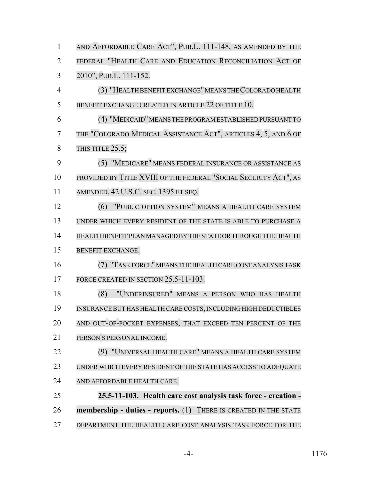| $\mathbf{1}$   | AND AFFORDABLE CARE ACT", PUB.L. 111-148, AS AMENDED BY THE      |
|----------------|------------------------------------------------------------------|
| $\overline{2}$ | FEDERAL "HEALTH CARE AND EDUCATION RECONCILIATION ACT OF         |
| 3              | 2010", PUB.L. 111-152.                                           |
| $\overline{4}$ | (3) "HEALTH BENEFIT EXCHANGE" MEANS THE COLORADO HEALTH          |
| 5              | BENEFIT EXCHANGE CREATED IN ARTICLE 22 OF TITLE 10.              |
| 6              | (4) "MEDICAID" MEANS THE PROGRAM ESTABLISHED PURSUANT TO         |
| 7              | THE "COLORADO MEDICAL ASSISTANCE ACT", ARTICLES 4, 5, AND 6 OF   |
| 8              | THIS TITLE 25.5;                                                 |
| 9              | (5) "MEDICARE" MEANS FEDERAL INSURANCE OR ASSISTANCE AS          |
| 10             | PROVIDED BY TITLE XVIII OF THE FEDERAL "SOCIAL SECURITY ACT", AS |
| 11             | AMENDED, 42 U.S.C. SEC. 1395 ET SEQ.                             |
| 12             | (6) "PUBLIC OPTION SYSTEM" MEANS A HEALTH CARE SYSTEM            |
| 13             | UNDER WHICH EVERY RESIDENT OF THE STATE IS ABLE TO PURCHASE A    |
| 14             | HEALTH BENEFIT PLAN MANAGED BY THE STATE OR THROUGH THE HEALTH   |
| 15             | <b>BENEFIT EXCHANGE.</b>                                         |
| 16             | (7) "TASK FORCE" MEANS THE HEALTH CARE COST ANALYSIS TASK        |
| 17             | FORCE CREATED IN SECTION 25.5-11-103.                            |
| 18             | "UNDERINSURED" MEANS A PERSON WHO HAS HEALTH<br>(8)              |
| 19             | INSURANCE BUT HAS HEALTH CARE COSTS, INCLUDING HIGH DEDUCTIBLES  |
| 20             | AND OUT-OF-POCKET EXPENSES, THAT EXCEED TEN PERCENT OF THE       |
| 21             | PERSON'S PERSONAL INCOME.                                        |
| 22             | (9) "UNIVERSAL HEALTH CARE" MEANS A HEALTH CARE SYSTEM           |
| 23             | UNDER WHICH EVERY RESIDENT OF THE STATE HAS ACCESS TO ADEQUATE   |
| 24             | AND AFFORDABLE HEALTH CARE.                                      |
| 25             | 25.5-11-103. Health care cost analysis task force - creation -   |
| 26             | membership - duties - reports. (1) THERE IS CREATED IN THE STATE |
| 27             | DEPARTMENT THE HEALTH CARE COST ANALYSIS TASK FORCE FOR THE      |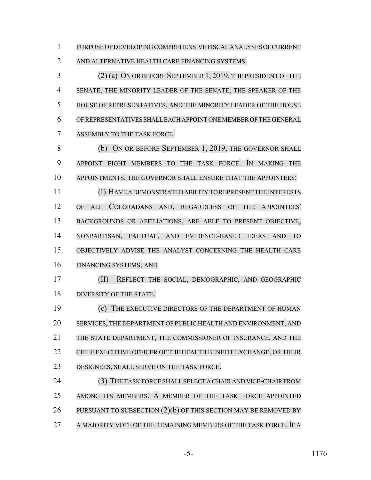PURPOSE OFDEVELOPING COMPREHENSIVE FISCALANALYSES OF CURRENT

AND ALTERNATIVE HEALTH CARE FINANCING SYSTEMS.

 (2) (a) ON OR BEFORE SEPTEMBER 1, 2019, THE PRESIDENT OF THE SENATE, THE MINORITY LEADER OF THE SENATE, THE SPEAKER OF THE HOUSE OF REPRESENTATIVES, AND THE MINORITY LEADER OF THE HOUSE OFREPRESENTATIVES SHALL EACH APPOINT ONE MEMBER OF THE GENERAL ASSEMBLY TO THE TASK FORCE.

8 (b) ON OR BEFORE SEPTEMBER 1, 2019, THE GOVERNOR SHALL APPOINT EIGHT MEMBERS TO THE TASK FORCE. IN MAKING THE APPOINTMENTS, THE GOVERNOR SHALL ENSURE THAT THE APPOINTEES:

 (I) HAVE A DEMONSTRATED ABILITY TO REPRESENT THE INTERESTS OF ALL COLORADANS AND, REGARDLESS OF THE APPOINTEES' BACKGROUNDS OR AFFILIATIONS, ARE ABLE TO PRESENT OBJECTIVE, NONPARTISAN, FACTUAL, AND EVIDENCE-BASED IDEAS AND TO OBJECTIVELY ADVISE THE ANALYST CONCERNING THE HEALTH CARE FINANCING SYSTEMS; AND

 (II) REFLECT THE SOCIAL, DEMOGRAPHIC, AND GEOGRAPHIC 18 DIVERSITY OF THE STATE.

 (c) THE EXECUTIVE DIRECTORS OF THE DEPARTMENT OF HUMAN SERVICES, THE DEPARTMENT OF PUBLIC HEALTH AND ENVIRONMENT, AND THE STATE DEPARTMENT, THE COMMISSIONER OF INSURANCE, AND THE CHIEF EXECUTIVE OFFICER OF THE HEALTH BENEFIT EXCHANGE, OR THEIR DESIGNEES, SHALL SERVE ON THE TASK FORCE.

24 (3) THE TASK FORCE SHALL SELECT A CHAIR AND VICE-CHAIR FROM AMONG ITS MEMBERS. A MEMBER OF THE TASK FORCE APPOINTED 26 PURSUANT TO SUBSECTION (2)(b) OF THIS SECTION MAY BE REMOVED BY 27 A MAJORITY VOTE OF THE REMAINING MEMBERS OF THE TASK FORCE. IF A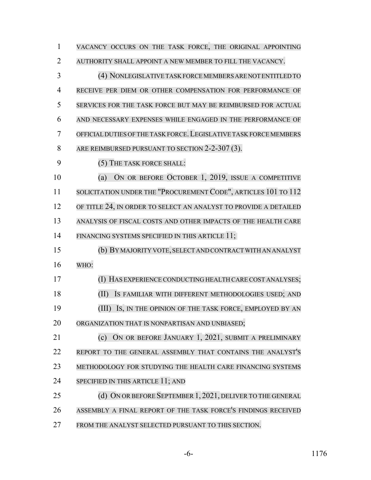| $\mathbf{1}$   | VACANCY OCCURS ON THE TASK FORCE, THE ORIGINAL APPOINTING         |
|----------------|-------------------------------------------------------------------|
| $\overline{2}$ | AUTHORITY SHALL APPOINT A NEW MEMBER TO FILL THE VACANCY.         |
| 3              | (4) NONLEGISLATIVE TASK FORCE MEMBERS ARE NOT ENTITLED TO         |
| 4              | RECEIVE PER DIEM OR OTHER COMPENSATION FOR PERFORMANCE OF         |
| 5              | SERVICES FOR THE TASK FORCE BUT MAY BE REIMBURSED FOR ACTUAL      |
| 6              | AND NECESSARY EXPENSES WHILE ENGAGED IN THE PERFORMANCE OF        |
| 7              | OFFICIAL DUTIES OF THE TASK FORCE. LEGISLATIVE TASK FORCE MEMBERS |
| 8              | ARE REIMBURSED PURSUANT TO SECTION 2-2-307 (3).                   |
| 9              | (5) THE TASK FORCE SHALL:                                         |
| 10             | ON OR BEFORE OCTOBER 1, 2019, ISSUE A COMPETITIVE<br>(a)          |
| 11             | SOLICITATION UNDER THE "PROCUREMENT CODE", ARTICLES 101 TO 112    |
| 12             | OF TITLE 24, IN ORDER TO SELECT AN ANALYST TO PROVIDE A DETAILED  |
| 13             | ANALYSIS OF FISCAL COSTS AND OTHER IMPACTS OF THE HEALTH CARE     |
| 14             | FINANCING SYSTEMS SPECIFIED IN THIS ARTICLE 11;                   |
| 15             | (b) BY MAJORITY VOTE, SELECT AND CONTRACT WITH AN ANALYST         |
| 16             | WHO:                                                              |
| 17             | (I) HAS EXPERIENCE CONDUCTING HEALTH CARE COST ANALYSES;          |
| 18             | (II)<br>IS FAMILIAR WITH DIFFERENT METHODOLOGIES USED; AND        |
| 19             | IS, IN THE OPINION OF THE TASK FORCE, EMPLOYED BY AN<br>(III)     |
| 20             | ORGANIZATION THAT IS NONPARTISAN AND UNBIASED;                    |
| 21             | ON OR BEFORE JANUARY 1, 2021, SUBMIT A PRELIMINARY<br>(c)         |
| 22             | REPORT TO THE GENERAL ASSEMBLY THAT CONTAINS THE ANALYST'S        |
| 23             | METHODOLOGY FOR STUDYING THE HEALTH CARE FINANCING SYSTEMS        |
| 24             | SPECIFIED IN THIS ARTICLE 11; AND                                 |
| 25             | (d) ON OR BEFORE SEPTEMBER 1, 2021, DELIVER TO THE GENERAL        |
| 26             | ASSEMBLY A FINAL REPORT OF THE TASK FORCE'S FINDINGS RECEIVED     |
| 27             | FROM THE ANALYST SELECTED PURSUANT TO THIS SECTION.               |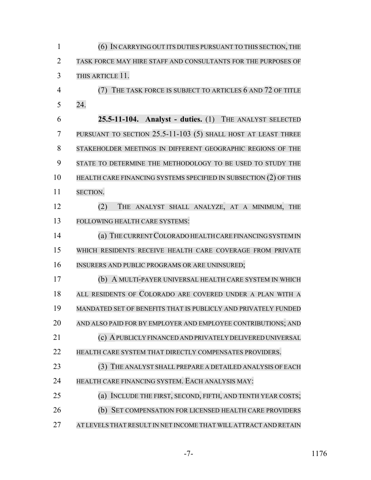(6) IN CARRYING OUT ITS DUTIES PURSUANT TO THIS SECTION, THE TASK FORCE MAY HIRE STAFF AND CONSULTANTS FOR THE PURPOSES OF THIS ARTICLE 11. (7) THE TASK FORCE IS SUBJECT TO ARTICLES 6 AND 72 OF TITLE 24. **25.5-11-104. Analyst - duties.** (1) THE ANALYST SELECTED PURSUANT TO SECTION 25.5-11-103 (5) SHALL HOST AT LEAST THREE STAKEHOLDER MEETINGS IN DIFFERENT GEOGRAPHIC REGIONS OF THE STATE TO DETERMINE THE METHODOLOGY TO BE USED TO STUDY THE HEALTH CARE FINANCING SYSTEMS SPECIFIED IN SUBSECTION (2) OF THIS SECTION. (2) THE ANALYST SHALL ANALYZE, AT A MINIMUM, THE FOLLOWING HEALTH CARE SYSTEMS: 14 (a) THE CURRENT COLORADO HEALTH CARE FINANCING SYSTEM IN WHICH RESIDENTS RECEIVE HEALTH CARE COVERAGE FROM PRIVATE INSURERS AND PUBLIC PROGRAMS OR ARE UNINSURED; (b) A MULTI-PAYER UNIVERSAL HEALTH CARE SYSTEM IN WHICH ALL RESIDENTS OF COLORADO ARE COVERED UNDER A PLAN WITH A MANDATED SET OF BENEFITS THAT IS PUBLICLY AND PRIVATELY FUNDED AND ALSO PAID FOR BY EMPLOYER AND EMPLOYEE CONTRIBUTIONS; AND (c) APUBLICLY FINANCED AND PRIVATELY DELIVERED UNIVERSAL HEALTH CARE SYSTEM THAT DIRECTLY COMPENSATES PROVIDERS. (3) THE ANALYST SHALL PREPARE A DETAILED ANALYSIS OF EACH HEALTH CARE FINANCING SYSTEM. EACH ANALYSIS MAY: (a) INCLUDE THE FIRST, SECOND, FIFTH, AND TENTH YEAR COSTS; (b) SET COMPENSATION FOR LICENSED HEALTH CARE PROVIDERS AT LEVELS THAT RESULT IN NET INCOME THAT WILL ATTRACT AND RETAIN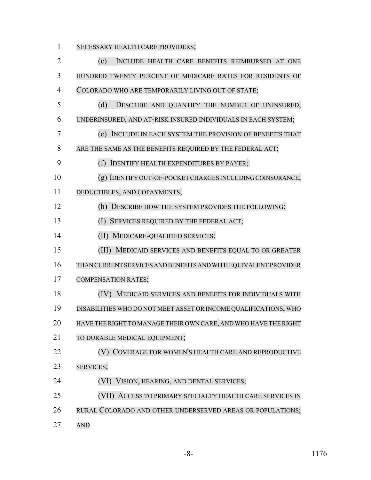NECESSARY HEALTH CARE PROVIDERS;

| $\overline{2}$ | (c)<br>INCLUDE HEALTH CARE BENEFITS REIMBURSED AT ONE            |
|----------------|------------------------------------------------------------------|
| 3              | HUNDRED TWENTY PERCENT OF MEDICARE RATES FOR RESIDENTS OF        |
| $\overline{4}$ | COLORADO WHO ARE TEMPORARILY LIVING OUT OF STATE;                |
| 5              | (d)<br>DESCRIBE AND QUANTIFY THE NUMBER OF UNINSURED,            |
| 6              | UNDERINSURED, AND AT-RISK INSURED INDIVIDUALS IN EACH SYSTEM;    |
| 7              | (e) INCLUDE IN EACH SYSTEM THE PROVISION OF BENEFITS THAT        |
| 8              | ARE THE SAME AS THE BENEFITS REQUIRED BY THE FEDERAL ACT;        |
| 9              | (f) IDENTIFY HEALTH EXPENDITURES BY PAYER;                       |
| 10             | (g) IDENTIFY OUT-OF-POCKET CHARGES INCLUDING COINSURANCE,        |
| 11             | DEDUCTIBLES, AND COPAYMENTS;                                     |
| 12             | (h) DESCRIBE HOW THE SYSTEM PROVIDES THE FOLLOWING:              |
| 13             | SERVICES REQUIRED BY THE FEDERAL ACT;<br>(I)                     |
| 14             | (II) MEDICARE-QUALIFIED SERVICES;                                |
| 15             | (III) MEDICAID SERVICES AND BENEFITS EQUAL TO OR GREATER         |
| 16             | THAN CURRENT SERVICES AND BENEFITS AND WITH EQUIVALENT PROVIDER  |
| 17             | <b>COMPENSATION RATES;</b>                                       |
| 18             | (IV) MEDICAID SERVICES AND BENEFITS FOR INDIVIDUALS WITH         |
| 19             | DISABILITIES WHO DO NOT MEET ASSET OR INCOME QUALIFICATIONS, WHO |
| 20             | HAVE THE RIGHT TO MANAGE THEIR OWN CARE, AND WHO HAVE THE RIGHT  |
| 21             | TO DURABLE MEDICAL EQUIPMENT;                                    |
| 22             | (V) COVERAGE FOR WOMEN'S HEALTH CARE AND REPRODUCTIVE            |
| 23             | <b>SERVICES;</b>                                                 |
| 24             | (VI) VISION, HEARING, AND DENTAL SERVICES;                       |
| 25             | (VII) ACCESS TO PRIMARY SPECIALTY HEALTH CARE SERVICES IN        |
| 26             | RURAL COLORADO AND OTHER UNDERSERVED AREAS OR POPULATIONS;       |
| 27             | <b>AND</b>                                                       |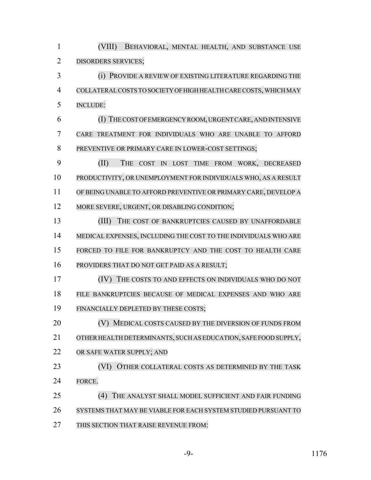(VIII) BEHAVIORAL, MENTAL HEALTH, AND SUBSTANCE USE DISORDERS SERVICES; (i) PROVIDE A REVIEW OF EXISTING LITERATURE REGARDING THE COLLATERALCOSTS TO SOCIETY OF HIGH HEALTH CARE COSTS,WHICH MAY INCLUDE: (I) THECOST OF EMERGENCY ROOM,URGENTCARE,ANDINTENSIVE CARE TREATMENT FOR INDIVIDUALS WHO ARE UNABLE TO AFFORD PREVENTIVE OR PRIMARY CARE IN LOWER-COST SETTINGS; (II) THE COST IN LOST TIME FROM WORK, DECREASED PRODUCTIVITY, OR UNEMPLOYMENT FOR INDIVIDUALS WHO, AS A RESULT OF BEING UNABLE TO AFFORD PREVENTIVE OR PRIMARY CARE, DEVELOP A 12 MORE SEVERE, URGENT, OR DISABLING CONDITION; 13 (III) THE COST OF BANKRUPTCIES CAUSED BY UNAFFORDABLE MEDICAL EXPENSES, INCLUDING THE COST TO THE INDIVIDUALS WHO ARE FORCED TO FILE FOR BANKRUPTCY AND THE COST TO HEALTH CARE PROVIDERS THAT DO NOT GET PAID AS A RESULT; (IV) THE COSTS TO AND EFFECTS ON INDIVIDUALS WHO DO NOT FILE BANKRUPTCIES BECAUSE OF MEDICAL EXPENSES AND WHO ARE FINANCIALLY DEPLETED BY THESE COSTS; **(V) MEDICAL COSTS CAUSED BY THE DIVERSION OF FUNDS FROM**  OTHER HEALTH DETERMINANTS, SUCH AS EDUCATION, SAFE FOOD SUPPLY, OR SAFE WATER SUPPLY; AND 23 (VI) OTHER COLLATERAL COSTS AS DETERMINED BY THE TASK FORCE. (4) THE ANALYST SHALL MODEL SUFFICIENT AND FAIR FUNDING SYSTEMS THAT MAY BE VIABLE FOR EACH SYSTEM STUDIED PURSUANT TO THIS SECTION THAT RAISE REVENUE FROM: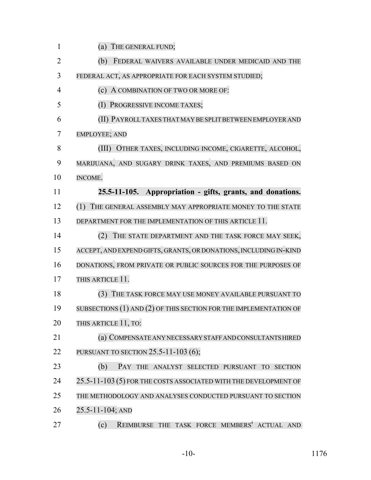| $\mathbf{1}$   | (a) THE GENERAL FUND;                                                 |
|----------------|-----------------------------------------------------------------------|
| $\overline{2}$ | (b)<br>FEDERAL WAIVERS AVAILABLE UNDER MEDICAID AND THE               |
| 3              | FEDERAL ACT, AS APPROPRIATE FOR EACH SYSTEM STUDIED;                  |
| 4              | (c) A COMBINATION OF TWO OR MORE OF:                                  |
| 5              | PROGRESSIVE INCOME TAXES;<br>(I)                                      |
| 6              | (II) PAYROLL TAXES THAT MAY BE SPLIT BETWEEN EMPLOYER AND             |
| 7              | <b>EMPLOYEE; AND</b>                                                  |
| 8              | OTHER TAXES, INCLUDING INCOME, CIGARETTE, ALCOHOL,<br>(III)           |
| 9              | MARIJUANA, AND SUGARY DRINK TAXES, AND PREMIUMS BASED ON              |
| 10             | INCOME.                                                               |
| 11             | 25.5-11-105. Appropriation - gifts, grants, and donations.            |
| 12             | (1)<br>THE GENERAL ASSEMBLY MAY APPROPRIATE MONEY TO THE STATE        |
| 13             | DEPARTMENT FOR THE IMPLEMENTATION OF THIS ARTICLE 11.                 |
| 14             | (2)<br>THE STATE DEPARTMENT AND THE TASK FORCE MAY SEEK,              |
| 15             | ACCEPT, AND EXPEND GIFTS, GRANTS, OR DONATIONS, INCLUDING IN-KIND     |
| 16             | DONATIONS, FROM PRIVATE OR PUBLIC SOURCES FOR THE PURPOSES OF         |
| 17             | THIS ARTICLE 11.                                                      |
| 18             | (3)<br>THE TASK FORCE MAY USE MONEY AVAILABLE PURSUANT TO             |
| 19             | SUBSECTIONS $(1)$ AND $(2)$ OF THIS SECTION FOR THE IMPLEMENTATION OF |
| 20             | THIS ARTICLE 11, TO:                                                  |
| 21             | (a) COMPENSATE ANY NECESSARY STAFF AND CONSULTANTS HIRED              |
| 22             | PURSUANT TO SECTION 25.5-11-103 (6);                                  |
| 23             | (b)<br>PAY THE ANALYST SELECTED PURSUANT TO<br><b>SECTION</b>         |
| 24             | 25.5-11-103 (5) FOR THE COSTS ASSOCIATED WITH THE DEVELOPMENT OF      |
| 25             | THE METHODOLOGY AND ANALYSES CONDUCTED PURSUANT TO SECTION            |
| 26             | 25.5-11-104; AND                                                      |
| 27             | (c)<br>REIMBURSE THE TASK FORCE MEMBERS' ACTUAL AND                   |